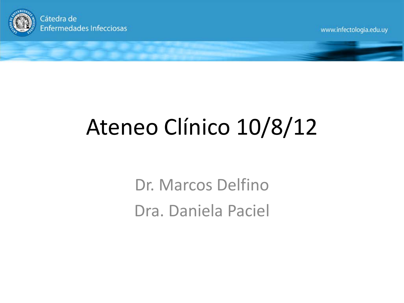

Cátedra de **Enfermedades Infecciosas** 

www.infectologia.edu.uy

# Ateneo Clínico 10/8/12

Dr. Marcos Delfino Dra. Daniela Paciel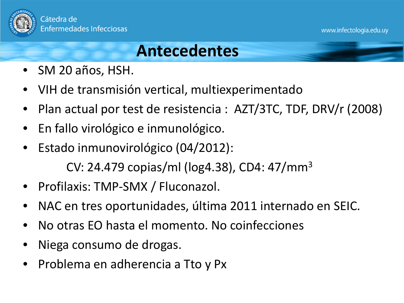

### **Antecedentes**

- SM 20 años, HSH.
- VIH de transmisión vertical, multiexperimentado
- Plan actual por test de resistencia : AZT/3TC, TDF, DRV/r (2008)
- En fallo virológico e inmunológico.
- Estado inmunovirológico (04/2012):

CV: 24.479 copias/ml (log4.38), CD4: 47/mm3

- Profilaxis: TMP-SMX / Fluconazol.
- NAC en tres oportunidades, última 2011 internado en SEIC.
- No otras EO hasta el momento. No coinfecciones
- Niega consumo de drogas.
- Problema en adherencia a Tto y Px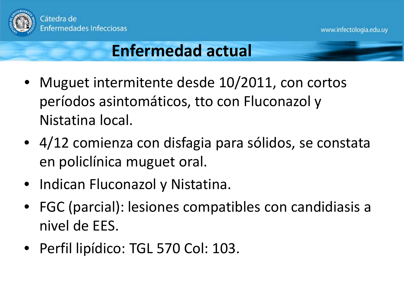

### **Enfermedad actual**

- Muguet intermitente desde 10/2011, con cortos períodos asintomáticos, tto con Fluconazol y Nistatina local.
- 4/12 comienza con disfagia para sólidos, se constata en policlínica muguet oral.
- Indican Fluconazol y Nistatina.
- FGC (parcial): lesiones compatibles con candidiasis a nivel de EES.
- Perfil lipídico: TGL 570 Col: 103.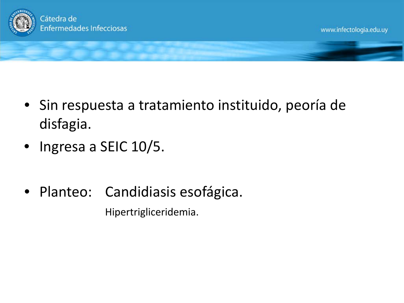

- Sin respuesta a tratamiento instituido, peoría de disfagia.
- Ingresa a SEIC 10/5.
- Planteo: Candidiasis esofágica. Hipertrigliceridemia.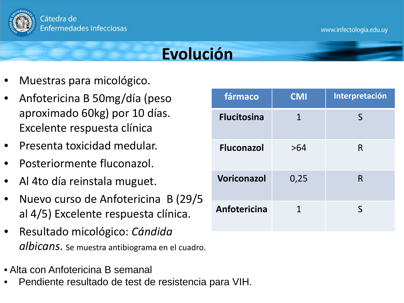

### **Evolución**

- Muestras para micológico.
- Anfotericina B 50mg/día (peso aproximado 60kg) por 10 días. Excelente respuesta clínica
- Presenta toxicidad medular.
- Posteriormente fluconazol.
- Al 4to día reinstala muguet.
- Nuevo curso de Anfotericina B (29/5 al 4/5) Excelente respuesta clínica.
- Resultado micológico: *Cándida albicans*. Se muestra antibiograma en el cuadro.
- Alta con Anfotericina B semanal
- Pendiente resultado de test de resistencia para VIH.

| fármaco            | <b>CMI</b> | Interpretación |  |  |
|--------------------|------------|----------------|--|--|
| <b>Flucitosina</b> | 1          | S              |  |  |
| <b>Fluconazol</b>  | >64        | R              |  |  |
| <b>Voriconazol</b> | 0,25       | R              |  |  |
| Anfotericina       | 1          | S              |  |  |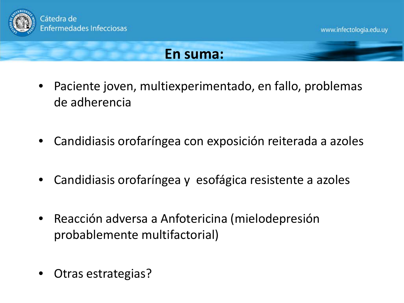

### **En suma:**

- Paciente joven, multiexperimentado, en fallo, problemas de adherencia
- Candidiasis orofaríngea con exposición reiterada a azoles
- Candidiasis orofaríngea y esofágica resistente a azoles
- Reacción adversa a Anfotericina (mielodepresión probablemente multifactorial)
- Otras estrategias?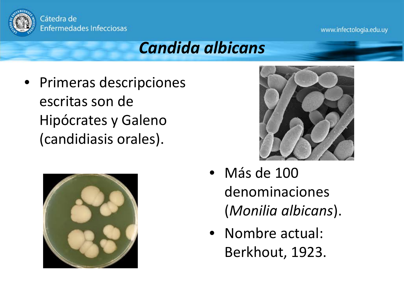

### *Candida albicans*

• Primeras descripciones escritas son de Hipócrates y Galeno (candidiasis orales).





- Más de 100 denominaciones (*Monilia albicans*).
- Nombre actual: Berkhout, 1923.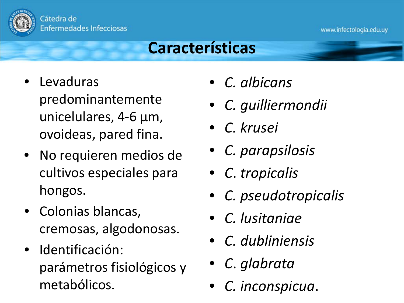

### **Características**

- Levaduras predominantemente unicelulares, 4-6 µm, ovoideas, pared fina.
- No requieren medios de cultivos especiales para hongos.
- Colonias blancas, cremosas, algodonosas.
- Identificación: parámetros fisiológicos y metabólicos.
- *C. albicans*
- *C. guilliermondii*
- *C. krusei*
- *C. parapsilosis*
- *C*. *tropicalis*
- *C. pseudotropicalis*
- *C. lusitaniae*
- *C. dubliniensis*
- *C*. *glabrata*
- *C. inconspicua*.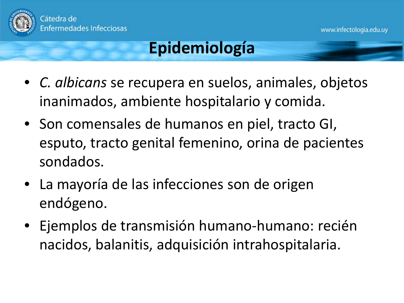

## **Epidemiología**

- *C. albicans* se recupera en suelos, animales, objetos inanimados, ambiente hospitalario y comida.
- Son comensales de humanos en piel, tracto GI, esputo, tracto genital femenino, orina de pacientes sondados.
- La mayoría de las infecciones son de origen endógeno.
- Ejemplos de transmisión humano-humano: recién nacidos, balanitis, adquisición intrahospitalaria.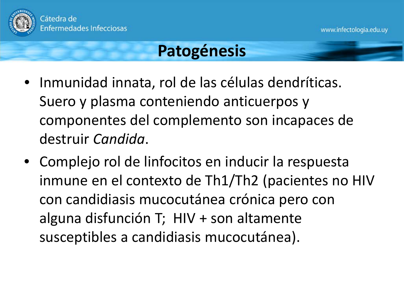

### **Patogénesis**

- Inmunidad innata, rol de las células dendríticas. Suero y plasma conteniendo anticuerpos y componentes del complemento son incapaces de destruir *Candida*.
- Complejo rol de linfocitos en inducir la respuesta inmune en el contexto de Th1/Th2 (pacientes no HIV con candidiasis mucocutánea crónica pero con alguna disfunción T; HIV + son altamente susceptibles a candidiasis mucocutánea).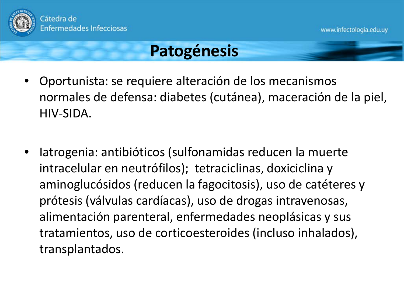

### **Patogénesis**

- Oportunista: se requiere alteración de los mecanismos normales de defensa: diabetes (cutánea), maceración de la piel, HIV-SIDA.
- Iatrogenia: antibióticos (sulfonamidas reducen la muerte intracelular en neutrófilos); tetraciclinas, doxiciclina y aminoglucósidos (reducen la fagocitosis), uso de catéteres y prótesis (válvulas cardíacas), uso de drogas intravenosas, alimentación parenteral, enfermedades neoplásicas y sus tratamientos, uso de corticoesteroides (incluso inhalados), transplantados.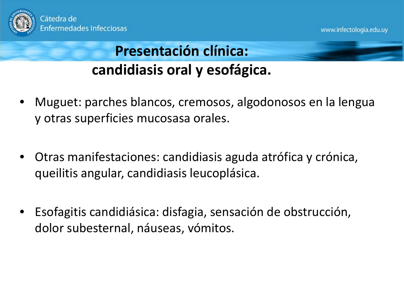

### **Presentación clínica: candidiasis oral y esofágica.**

- Muguet: parches blancos, cremosos, algodonosos en la lengua y otras superficies mucosasa orales.
- Otras manifestaciones: candidiasis aguda atrófica y crónica, queilitis angular, candidiasis leucoplásica.
- Esofagitis candidiásica: disfagia, sensación de obstrucción, dolor subesternal, náuseas, vómitos.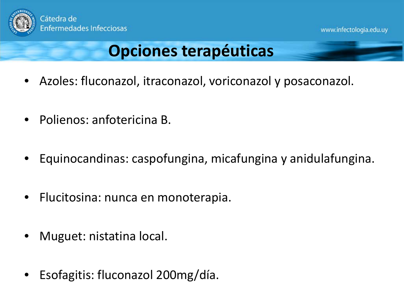

### **Opciones terapéuticas**

- Azoles: fluconazol, itraconazol, voriconazol y posaconazol.
- Polienos: anfotericina B.
- Equinocandinas: caspofungina, micafungina y anidulafungina.
- Flucitosina: nunca en monoterapia.
- Muguet: nistatina local.
- Esofagitis: fluconazol 200mg/día.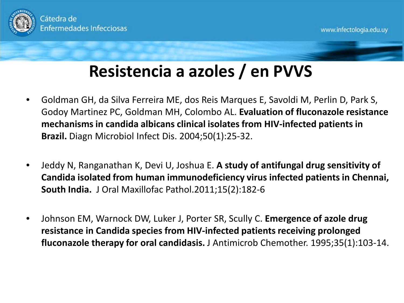

## **Resistencia a azoles / en PVVS**

- Goldman GH, da Silva Ferreira ME, dos Reis Marques E, Savoldi M, Perlin D, Park S, Godoy Martinez PC, Goldman MH, Colombo AL. **Evaluation of fluconazole resistance mechanisms in candida albicans clinical isolates from HIV-infected patients in Brazil.** Diagn Microbiol Infect Dis. 2004;50(1):25-32.
- Jeddy N, Ranganathan K, Devi U, Joshua E. **A study of antifungal drug sensitivity of Candida isolated from human immunodeficiency virus infected patients in Chennai, South India.** J Oral Maxillofac Pathol.2011;15(2):182-6
- Johnson EM, Warnock DW, Luker J, Porter SR, Scully C. **Emergence of azole drug resistance in Candida species from HIV-infected patients receiving prolonged fluconazole therapy for oral candidasis.** J Antimicrob Chemother. 1995;35(1):103-14.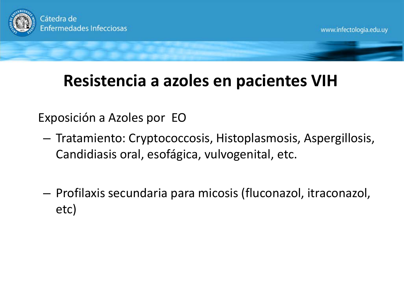

## **Resistencia a azoles en pacientes VIH**

Exposición a Azoles por EO

- Tratamiento: Cryptococcosis, Histoplasmosis, Aspergillosis, Candidiasis oral, esofágica, vulvogenital, etc.
- Profilaxis secundaria para micosis (fluconazol, itraconazol, etc)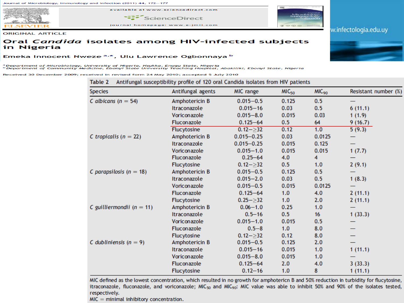

available at www.sciencedirect.com ScienceDirect

journal homepage: www.e-jmii.com



w.infectologia.edu.uy

**ORIGINAL ARTICLE** 

#### Oral Candida isolates among HIV-infected subjects in Nigeria

#### Emeka Innocent Nweze<sup>a,\*</sup>, Ulu Lawrence Ogbonnaya b

<sup>a</sup> Department of Microbiology, University of Nigeria, Nsukka, Enugu State, Nigeria<br><sup>b</sup> Department of Community Medicine, Ebonyi State University Teaching Hospital, Abakiliki, Ebonyi State, Nigeria

Received 30 December 2009; received in revised form 24 May 2010; accepted 5 July 2010

| <b>Species</b>                | Antifungal agents  | MIC range      | MC <sub>50</sub> | MIC <sub>90</sub> | Resistant number (%) |
|-------------------------------|--------------------|----------------|------------------|-------------------|----------------------|
| C albicans ( $n = 54$ )       | Amphotericin B     | $0.015 - 0.5$  | 0.125            | 0.5               |                      |
|                               | Itraconazole       | $0.015 - 16$   | 0.03             | 0.5               | 6(11.1)              |
|                               | Voriconazole       | $0.015 - 8.0$  | 0.015            | 0.03              | 1(1.9)               |
|                               | <b>Fluconazole</b> | $0.125 - 64$   | 0.5              | 64                | 9(16.7)              |
|                               | Flucytosine        | $0.12 - > 32$  | 0.12             | 1.0               | 5(9.3)               |
| C tropicalis ( $n = 22$ )     | Amphotericin B     | $0.015 - 0.25$ | 0.03             | 0.0125            |                      |
|                               | Itraconazole       | $0.015 - 0.25$ | 0.015            | 0.125             |                      |
|                               | Voriconazole       | $0.015 - 1.0$  | 0.015            | 0.015             | 1(7.7)               |
|                               | <b>Fluconazole</b> | $0.25 - 64$    | 4.0              | 4                 |                      |
|                               | <b>Flucytosine</b> | $0.12 - > 32$  | 0.5              | 1.0               | 2(9.1)               |
| C parapsilosis ( $n = 18$ )   | Amphotericin B     | $0.015 - 0.5$  | 0.125            | 0.5               |                      |
|                               | Itraconazole       | $0.015 - 2.0$  | 0.03             | 0.5               | 1(8.3)               |
|                               | Voriconazole       | $0.015 - 0.5$  | 0.015            | 0.0125            |                      |
|                               | Fluconazole        | $0.125 - 64$   | 1.0              | 4.0               | 2(11.1)              |
|                               | <b>Flucytosine</b> | $0.25 - > 32$  | 1.0              | 2.0               | 2(11.1)              |
| C guilliermondii ( $n = 11$ ) | Amphotericin B     | $0.06 - 1.0$   | 0.25             | 1.0               |                      |
|                               | Itraconazole       | $0.5 - 16$     | 0.5              | 16                | 1(33.3)              |
|                               | Voriconazole       | $0.015 - 1.0$  | 0.015            | 0.5               |                      |
|                               | Fluconazole        | $0.5 - 8$      | 1.0              | 8.0               |                      |
|                               | Flucytosine        | $0.12 - > 32$  | 0.12             | 8.0               |                      |
| C dubliniensis ( $n = 9$ )    | Amphotericin B     | $0.015 - 0.5$  | 0.125            | 2.0               |                      |
|                               | Itraconazole       | $0.015 - 16$   | 0.015            | 1.0               | 1(11.1)              |
|                               | Voriconazole       | $0.015 - 8.0$  | 0.015            | 1.0               |                      |
|                               | <b>Fluconazole</b> | $0.125 - 64$   | 2.0              | 4.0               | 3(33.3)              |
|                               | <b>Flucytosine</b> | $0.12 - 16$    | 1.0              | 8                 | 1(11.1)              |

MIC defined as the lowest concentration, which resulted in no growth for amphotericn B and 50% reduction in turbidity for flucytosine, itraconazole, fluconazole, and voriconazole; MIC<sub>50</sub> and MIC<sub>90</sub>: MIC value was able to inhibit 50% and 90% of the isolates tested, respectively.

 $MIC = minimal inhibitory concentration.$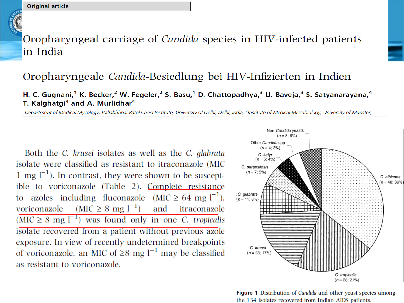

### Oropharyngeal carriage of *Candida* species in HIV-infected patients in India

### Oropharyngeale Candida-Besiedlung bei HIV-Infizierten in Indien

#### H. C. Gugnani,<sup>1</sup> K. Becker,<sup>2</sup> W. Fegeler,<sup>2</sup> S. Basu,<sup>1</sup> D. Chattopadhya,<sup>3</sup> U. Baveja,<sup>3</sup> S. Satyanarayana,<sup>4</sup> T. Kalghatgi<sup>4</sup> and A. Murlidhar<sup>4</sup>

<sup>1</sup>Department of Medical Mycology, Vallabhbhai Patel Chest Institute, University of Delhi, Delhi, India, <sup>2</sup>Institute of Medical Microbiology, University of Münster,

Both the C. krusei isolates as well as the C. glabrata isolate were classified as resistant to itraconazole (MIC 1 mg  $\lfloor$ <sup>-1</sup>). In contrast, they were shown to be susceptible to voriconazole (Table 2). Complete resistance to azoles including fluconazole (MIC  $\geq 64$  mg  $l^{-1}$ ),  $(MIC \ge 8 \text{ mg } l^{-1})$ voriconazole and itraconazole  $(MIC \geq 8 \text{ mg } l^{-1})$  was found only in one C. tropicalis isolate recovered from a patient without previous azole exposure. In view of recently undetermined breakpoints of voriconazole, an MIC of  $\geq 8$  mg l<sup>-1</sup> may be classified as resistant to voriconazole.



Figure 1 Distribution of *Candida* and other yeast species among the 134 isolates recovered from Indian AIDS patients.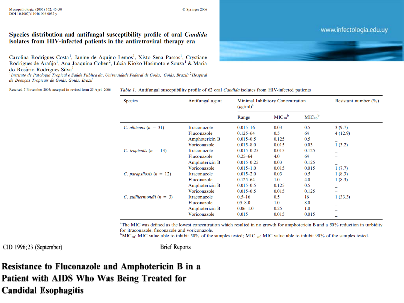#### Species distribution and antifungal susceptibility profile of oral *Candida* isolates from HIV-infected patients in the antiretroviral therapy era

Carolina Rodrigues Costa<sup>1</sup>, Janine de Aquino Lemos<sup>1</sup>, Xisto Sena Passos<sup>1</sup>, Crystiane Rodrigues de Araújo<sup>1</sup>, Ana Joaquina Cohen<sup>2</sup>, Lúcia Kioko Hasimoto e Souza<sup>1</sup> & Maria do Rosário Rodrigues Silva<sup>1</sup>

<sup>1</sup>Instituto de Patologia Tropical e Saúde Pública da, Universidade Federal de Goiás, Goiás, Brazil; <sup>2</sup>Hospital de Doenças Tropicais de Goiás, Goiás, Brazil

Received 7 November 2005; accepted in revised form 25 April 2006

Table 1. Antifungal susceptibility profile of 62 oral Candida isolates from HIV-infected patients

| <b>Species</b>              | Antifungal agent | Minimal Inhibitory Concentration<br>$(\mu g/ml)^a$ |                                | Resistant number $(\% )$ |          |
|-----------------------------|------------------|----------------------------------------------------|--------------------------------|--------------------------|----------|
|                             |                  | Range                                              | MIC <sub>50</sub> <sup>b</sup> | $MIC90$ <sup>b</sup>     |          |
| C. albicans $(n = 31)$      | Itraconazole     | $0.015 - 16$                                       | 0.03                           | 0.5                      | 3(9.7)   |
|                             | Fluconazole      | $0.125 - 64$                                       | 0.5                            | 64                       | 4 (12.9) |
|                             | Amphotericin B   | $0.015 - 0.5$                                      | 0.125                          | 0.5                      |          |
|                             | Voriconazole     | $0.015 - 8.0$                                      | 0.015                          | 0.03                     | 1(3.2)   |
| C. tropicalis $(n = 13)$    | Itraconazole     | $0.015 - 0.25$                                     | 0.015                          | 0.125                    |          |
|                             | Fluconazole      | $0.25 - 64$                                        | 4.0                            | 64                       |          |
|                             | Amphotericin B   | $0.015 - 0.25$                                     | 0.03                           | 0.125                    |          |
|                             | Voriconazole     | $0.015 - 1.0$                                      | 0.015                          | 0.015                    | 1(7.7)   |
| C. parapsilosis $(n = 12)$  | Itraconazole     | $0.015 - 2.0$                                      | 0.03                           | 0.5                      | 1(8.3)   |
|                             | Fluconazole      | $0.125 - 64$                                       | 1.0                            | 4.0                      | 1(8.3)   |
|                             | Amphotericin B   | $0.015 - 0.5$                                      | 0.125                          | 0.5                      |          |
|                             | Voriconazole     | $0.015 - 0.5$                                      | 0.015                          | 0.125                    |          |
| C. guilliermondii $(n = 3)$ | Itraconazole     | $0.5 - 16$                                         | 0.5                            | 16                       | 1(33.3)  |
|                             | Fluconazole      | $05 - 8.0$                                         | 1.0                            | 8.0                      |          |
|                             | Amphotericin B   | $0.06 - 1.0$                                       | 0.25                           | 1.0                      | -        |
|                             | Voriconazole     | 0.015                                              | 0.015                          | 0.015                    |          |
|                             |                  |                                                    |                                |                          |          |

<sup>a</sup>The MIC was defined as the lowest concentration which resulted in no growth for amphotericin B and a 50% reduction in turbidity for itraconazole, fluconazole and voriconazole.

<sup>b</sup>MIC<sub>50</sub>: MIC value able to inhibit 50% of the samples tested; MIC <sub>90</sub>: MIC value able to inhibit 90% of the samples tested.

 $CID 1996; 23 (September)$ 

**Brief Reports** 

Resistance to Fluconazole and Amphotericin B in a Patient with AIDS Who Was Being Treated for **Candidal Esophagitis** 

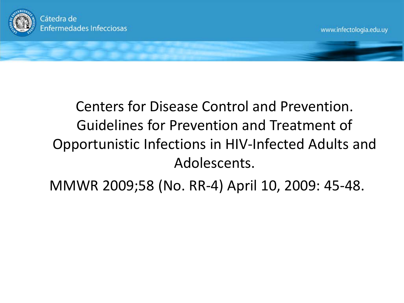

## Centers for Disease Control and Prevention. Guidelines for Prevention and Treatment of Opportunistic Infections in HIV-Infected Adults and Adolescents.

MMWR 2009;58 (No. RR-4) April 10, 2009: 45-48.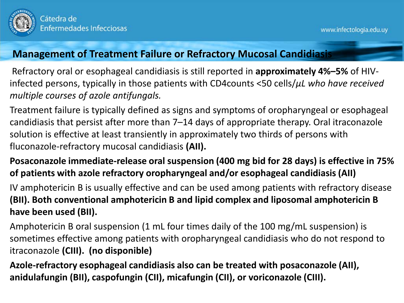

#### **Management of Treatment Failure or Refractory Mucosal Candidiasis**

Refractory oral or esophageal candidiasis is still reported in **approximately 4%–5%** of HIVinfected persons, typically in those patients with CD4counts <50 cells/*μL who have received multiple courses of azole antifungals.*

Treatment failure is typically defined as signs and symptoms of oropharyngeal or esophageal candidiasis that persist after more than 7–14 days of appropriate therapy. Oral itraconazole solution is effective at least transiently in approximately two thirds of persons with fluconazole-refractory mucosal candidiasis **(AII).** 

### **Posaconazole immediate-release oral suspension (400 mg bid for 28 days) is effective in 75% of patients with azole refractory oropharyngeal and/or esophageal candidiasis (AII)**

IV amphotericin B is usually effective and can be used among patients with refractory disease **(BII). Both conventional amphotericin B and lipid complex and liposomal amphotericin B have been used (BII).**

Amphotericin B oral suspension (1 mL four times daily of the 100 mg/mL suspension) is sometimes effective among patients with oropharyngeal candidiasis who do not respond to itraconazole **(CIII). (no disponible)**

**Azole-refractory esophageal candidiasis also can be treated with posaconazole (AII), anidulafungin (BII), caspofungin (CII), micafungin (CII), or voriconazole (CIII).**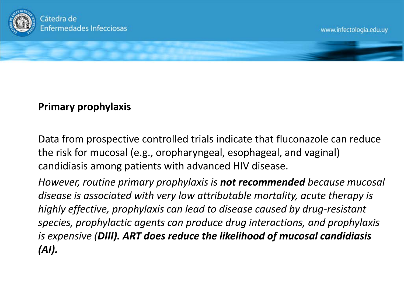

### **Primary prophylaxis**

Data from prospective controlled trials indicate that fluconazole can reduce the risk for mucosal (e.g., oropharyngeal, esophageal, and vaginal) candidiasis among patients with advanced HIV disease.

*However, routine primary prophylaxis is not recommended because mucosal disease is associated with very low attributable mortality, acute therapy is highly effective, prophylaxis can lead to disease caused by drug-resistant species, prophylactic agents can produce drug interactions, and prophylaxis is expensive (DIII). ART does reduce the likelihood of mucosal candidiasis (AI).*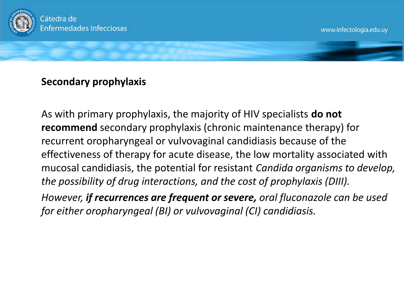

#### **Secondary prophylaxis**

As with primary prophylaxis, the majority of HIV specialists **do not recommend** secondary prophylaxis (chronic maintenance therapy) for recurrent oropharyngeal or vulvovaginal candidiasis because of the effectiveness of therapy for acute disease, the low mortality associated with mucosal candidiasis, the potential for resistant *Candida organisms to develop, the possibility of drug interactions, and the cost of prophylaxis (DIII).* 

*However, if recurrences are frequent or severe, oral fluconazole can be used for either oropharyngeal (BI) or vulvovaginal (CI) candidiasis.*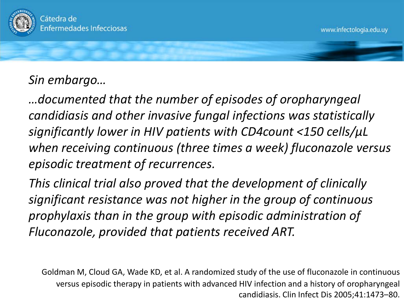

### *Sin embargo…*

*…documented that the number of episodes of oropharyngeal candidiasis and other invasive fungal infections was statistically significantly lower in HIV patients with CD4count <150 cells/μL when receiving continuous (three times a week) fluconazole versus episodic treatment of recurrences.* 

*This clinical trial also proved that the development of clinically significant resistance was not higher in the group of continuous prophylaxis than in the group with episodic administration of Fluconazole, provided that patients received ART.*

Goldman M, Cloud GA, Wade KD, et al. A randomized study of the use of fluconazole in continuous versus episodic therapy in patients with advanced HIV infection and a history of oropharyngeal candidiasis. Clin Infect Dis 2005;41:1473–80.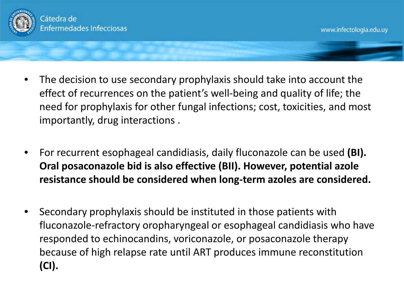

- The decision to use secondary prophylaxis should take into account the effect of recurrences on the patient's well-being and quality of life; the need for prophylaxis for other fungal infections; cost, toxicities, and most importantly, drug interactions .
- For recurrent esophageal candidiasis, daily fluconazole can be used **(BI). Oral posaconazole bid is also effective (BII). However, potential azole resistance should be considered when long-term azoles are considered.**
- Secondary prophylaxis should be instituted in those patients with fluconazole-refractory oropharyngeal or esophageal candidiasis who have responded to echinocandins, voriconazole, or posaconazole therapy because of high relapse rate until ART produces immune reconstitution **(CI).**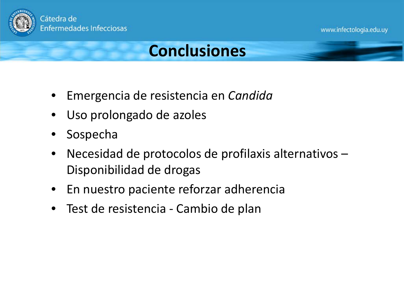

### **Conclusiones**

- Emergencia de resistencia en *Candida*
- Uso prolongado de azoles
- **Sospecha**
- Necesidad de protocolos de profilaxis alternativos Disponibilidad de drogas
- En nuestro paciente reforzar adherencia
- Test de resistencia Cambio de plan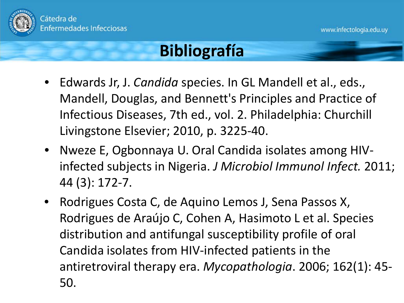

### **Bibliografía**

- Edwards Jr, J. *Candida* species. In GL Mandell et al., eds., Mandell, Douglas, and Bennett's Principles and Practice of Infectious Diseases, 7th ed., vol. 2. Philadelphia: Churchill Livingstone Elsevier; 2010, p. 3225-40.
- Nweze E, Ogbonnaya U. Oral Candida isolates among HIVinfected subjects in Nigeria. *J Microbiol Immunol Infect.* 2011; 44 (3): 172-7.
- Rodrigues Costa C, de Aquino Lemos J, Sena Passos X, Rodrigues de Araújo C, Cohen A, Hasimoto L et al. Species distribution and antifungal susceptibility profile of oral Candida isolates from HIV-infected patients in the antiretroviral therapy era. *Mycopathologia*. 2006; 162(1): 45- 50.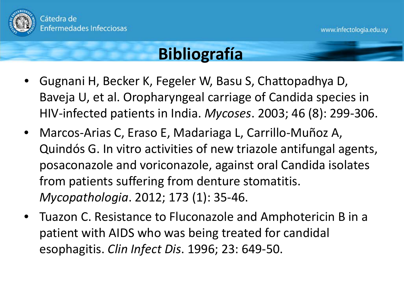

## **Bibliografía**

- Gugnani H, Becker K, Fegeler W, Basu S, Chattopadhya D, Baveja U, et al. Oropharyngeal carriage of Candida species in HIV-infected patients in India. *Mycoses*. 2003; 46 (8): 299-306.
- Marcos-Arias C, Eraso E, Madariaga L, Carrillo-Muñoz A, Quindós G. In vitro activities of new triazole antifungal agents, posaconazole and voriconazole, against oral Candida isolates from patients suffering from denture stomatitis. *Mycopathologia*. 2012; 173 (1): 35-46.
- Tuazon C. Resistance to Fluconazole and Amphotericin B in a patient with AIDS who was being treated for candidal esophagitis. *Clin Infect Dis*. 1996; 23: 649-50.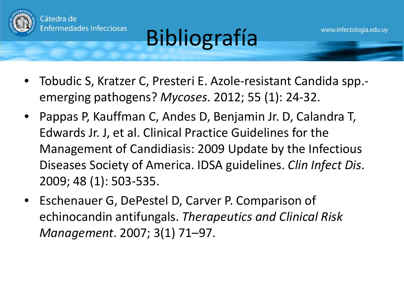

# Bibliografía

www.infectologia.edu.uy

- Tobudic S, Kratzer C, Presteri E. Azole-resistant Candida spp. emerging pathogens? *Mycoses*. 2012; 55 (1): 24-32.
- Pappas P, Kauffman C, Andes D, Benjamin Jr. D, Calandra T, Edwards Jr. J, et al. Clinical Practice Guidelines for the Management of Candidiasis: 2009 Update by the Infectious Diseases Society of America. IDSA guidelines. *Clin Infect Dis*. 2009; 48 (1): 503-535.
- Eschenauer G, DePestel D, Carver P. Comparison of echinocandin antifungals. *Therapeutics and Clinical Risk Management*. 2007; 3(1) 71–97.